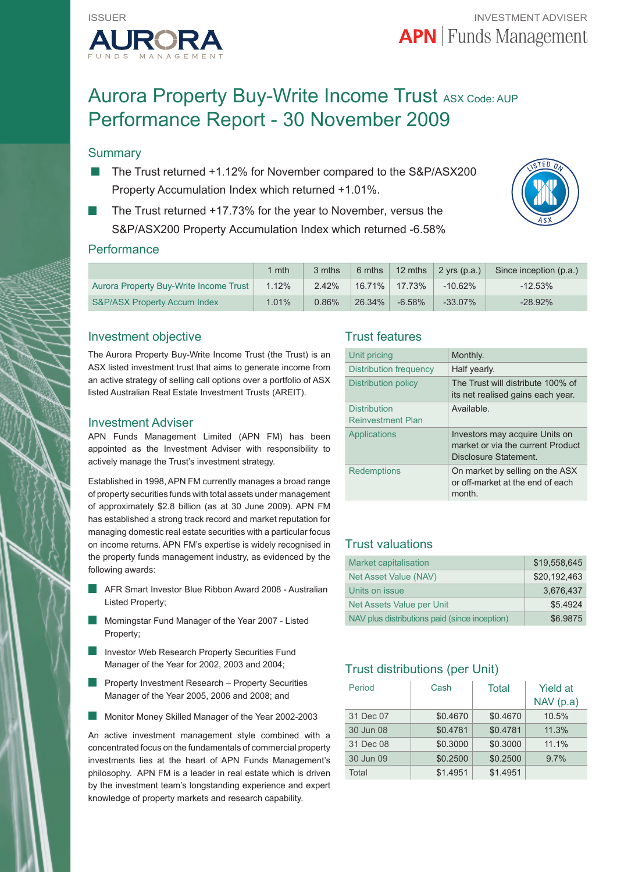

# Aurora Property Buy-Write Income Trust ASX Code: AUP Performance Report - 30 November 2009

# **Summary**

- The Trust returned +1.12% for November compared to the S&P/ASX200 Property Accumulation Index which returned +1.01%.
- The Trust returned +17.73% for the year to November, versus the S&P/ASX200 Property Accumulation Index which returned -6.58%



#### **Performance**

|                                         | $1$ mth | 3 mths   | 6 mths    | 12 mths  | $2$ yrs (p.a.) | Since inception (p.a.) |
|-----------------------------------------|---------|----------|-----------|----------|----------------|------------------------|
| Aurora Property Buy-Write Income Trust  | 1.12%   | 2.42%    | $16.71\%$ | 17.73%   | $-10.62\%$     | $-12.53\%$             |
| <b>S&amp;P/ASX Property Accum Index</b> | 1.01%   | $0.86\%$ | 26.34%    | $-6.58%$ | $-33.07\%$     | $-28.92%$              |

#### Investment objective

The Aurora Property Buy-Write Income Trust (the Trust) is an ASX listed investment trust that aims to generate income from an active strategy of selling call options over a portfolio of ASX listed Australian Real Estate Investment Trusts (AREIT).

#### Investment Adviser

APN Funds Management Limited (APN FM) has been appointed as the Investment Adviser with responsibility to actively manage the Trust's investment strategy.

Established in 1998, APN FM currently manages a broad range of property securities funds with total assets under management of approximately \$2.8 billion (as at 30 June 2009). APN FM has established a strong track record and market reputation for managing domestic real estate securities with a particular focus on income returns. APN FM's expertise is widely recognised in the property funds management industry, as evidenced by the following awards:

- AFR Smart Investor Blue Ribbon Award 2008 Australian Listed Property;
- Morningstar Fund Manager of the Year 2007 Listed Property;
- Investor Web Research Property Securities Fund Manager of the Year for 2002, 2003 and 2004;
- Property Investment Research Property Securities Manager of the Year 2005, 2006 and 2008; and
- Monitor Money Skilled Manager of the Year 2002-2003

An active investment management style combined with a concentrated focus on the fundamentals of commercial property investments lies at the heart of APN Funds Management's philosophy. APN FM is a leader in real estate which is driven by the investment team's longstanding experience and expert knowledge of property markets and research capability.

#### Trust features

| Unit pricing                                    | Monthly.                                                                                     |
|-------------------------------------------------|----------------------------------------------------------------------------------------------|
| Distribution frequency                          | Half yearly.                                                                                 |
| Distribution policy                             | The Trust will distribute 100% of<br>its net realised gains each year.                       |
| <b>Distribution</b><br><b>Reinvestment Plan</b> | Available.                                                                                   |
| Applications                                    | Investors may acquire Units on<br>market or via the current Product<br>Disclosure Statement. |
| Redemptions                                     | On market by selling on the ASX<br>or off-market at the end of each<br>month.                |

## Trust valuations

| Market capitalisation                         | \$19.558.645 |
|-----------------------------------------------|--------------|
| Net Asset Value (NAV)                         | \$20.192.463 |
| Units on issue                                | 3.676.437    |
| Net Assets Value per Unit                     | \$5.4924     |
| NAV plus distributions paid (since inception) | \$6.9875     |

# Trust distributions (per Unit)

| Period    | Cash     | Total    | <b>Yield at</b><br>NAV(p.a) |
|-----------|----------|----------|-----------------------------|
| 31 Dec 07 | \$0.4670 | \$0.4670 | 10.5%                       |
| 30 Jun 08 | \$0.4781 | \$0.4781 | 11.3%                       |
| 31 Dec 08 | \$0.3000 | \$0.3000 | 11.1%                       |
| 30 Jun 09 | \$0.2500 | \$0.2500 | 9.7%                        |
| Total     | \$1.4951 | \$1.4951 |                             |